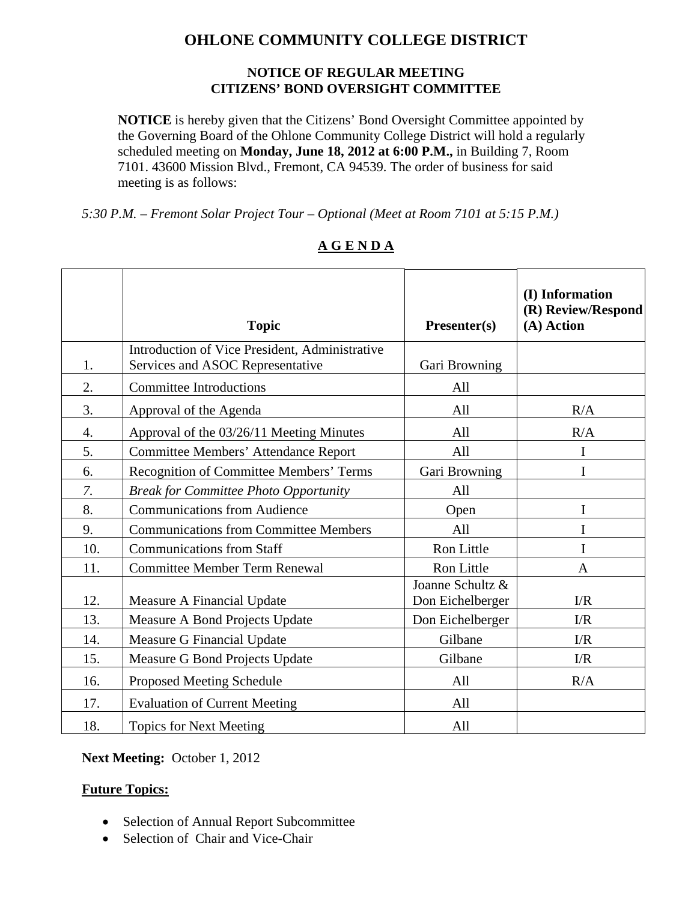# **OHLONE COMMUNITY COLLEGE DISTRICT**

#### **NOTICE OF REGULAR MEETING CITIZENS' BOND OVERSIGHT COMMITTEE**

**NOTICE** is hereby given that the Citizens' Bond Oversight Committee appointed by the Governing Board of the Ohlone Community College District will hold a regularly scheduled meeting on **Monday, June 18, 2012 at 6:00 P.M.,** in Building 7, Room 7101. 43600 Mission Blvd., Fremont, CA 94539. The order of business for said meeting is as follows:

*5:30 P.M. – Fremont Solar Project Tour – Optional (Meet at Room 7101 at 5:15 P.M.)* 

|     | <b>Topic</b>                                                                       | Presenter(s)                         | (I) Information<br>(R) Review/Respond<br>(A) Action |
|-----|------------------------------------------------------------------------------------|--------------------------------------|-----------------------------------------------------|
| 1.  | Introduction of Vice President, Administrative<br>Services and ASOC Representative | Gari Browning                        |                                                     |
| 2.  | <b>Committee Introductions</b>                                                     | All                                  |                                                     |
| 3.  | Approval of the Agenda                                                             | All                                  | R/A                                                 |
| 4.  | Approval of the 03/26/11 Meeting Minutes                                           | All                                  | R/A                                                 |
| 5.  | <b>Committee Members' Attendance Report</b>                                        | All                                  | I                                                   |
| 6.  | <b>Recognition of Committee Members' Terms</b>                                     | Gari Browning                        | I                                                   |
| 7.  | <b>Break for Committee Photo Opportunity</b>                                       | All                                  |                                                     |
| 8.  | <b>Communications from Audience</b>                                                | Open                                 | I                                                   |
| 9.  | <b>Communications from Committee Members</b>                                       | All                                  | I                                                   |
| 10. | <b>Communications from Staff</b>                                                   | Ron Little                           | I                                                   |
| 11. | <b>Committee Member Term Renewal</b>                                               | Ron Little                           | $\mathbf{A}$                                        |
| 12. | Measure A Financial Update                                                         | Joanne Schultz &<br>Don Eichelberger | $\Gamma/R$                                          |
| 13. | Measure A Bond Projects Update                                                     | Don Eichelberger                     | I/R                                                 |
| 14. | Measure G Financial Update                                                         | Gilbane                              | I/R                                                 |
| 15. | Measure G Bond Projects Update                                                     | Gilbane                              | I/R                                                 |
| 16. | <b>Proposed Meeting Schedule</b>                                                   | All                                  | R/A                                                 |
| 17. | <b>Evaluation of Current Meeting</b>                                               | All                                  |                                                     |
| 18. | <b>Topics for Next Meeting</b>                                                     | All                                  |                                                     |

### **A G E N D A**

#### **Next Meeting:** October 1, 2012

#### **Future Topics:**

- Selection of Annual Report Subcommittee
- Selection of Chair and Vice-Chair